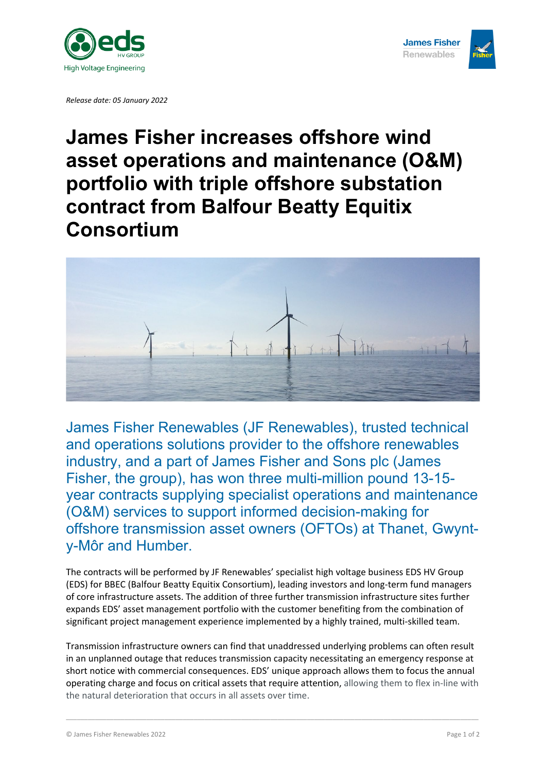

*Release date: 05 January 2022*



## **James Fisher increases offshore wind asset operations and maintenance (O&M) portfolio with triple offshore substation contract from Balfour Beatty Equitix Consortium**



James Fisher Renewables (JF Renewables), trusted technical and operations solutions provider to the offshore renewables industry, and a part of James Fisher and Sons plc (James Fisher, the group), has won three multi-million pound 13-15 year contracts supplying specialist operations and maintenance (O&M) services to support informed decision-making for offshore transmission asset owners (OFTOs) at Thanet, Gwynty-Môr and Humber.

The contracts will be performed by JF Renewables' specialist high voltage business EDS HV Group (EDS) for BBEC (Balfour Beatty Equitix Consortium), leading investors and long-term fund managers of core infrastructure assets. The addition of three further transmission infrastructure sites further expands EDS' asset management portfolio with the customer benefiting from the combination of significant project management experience implemented by a highly trained, multi-skilled team.

Transmission infrastructure owners can find that unaddressed underlying problems can often result in an unplanned outage that reduces transmission capacity necessitating an emergency response at short notice with commercial consequences. EDS' unique approach allows them to focus the annual operating charge and focus on critical assets that require attention, allowing them to flex in-line with the natural deterioration that occurs in all assets over time.

\_\_\_\_\_\_\_\_\_\_\_\_\_\_\_\_\_\_\_\_\_\_\_\_\_\_\_\_\_\_\_\_\_\_\_\_\_\_\_\_\_\_\_\_\_\_\_\_\_\_\_\_\_\_\_\_\_\_\_\_\_\_\_\_\_\_\_\_\_\_\_\_\_\_\_\_\_\_\_\_\_\_\_\_\_\_\_\_\_\_\_\_\_\_\_\_\_\_\_\_\_\_\_\_\_\_\_\_\_\_\_\_\_